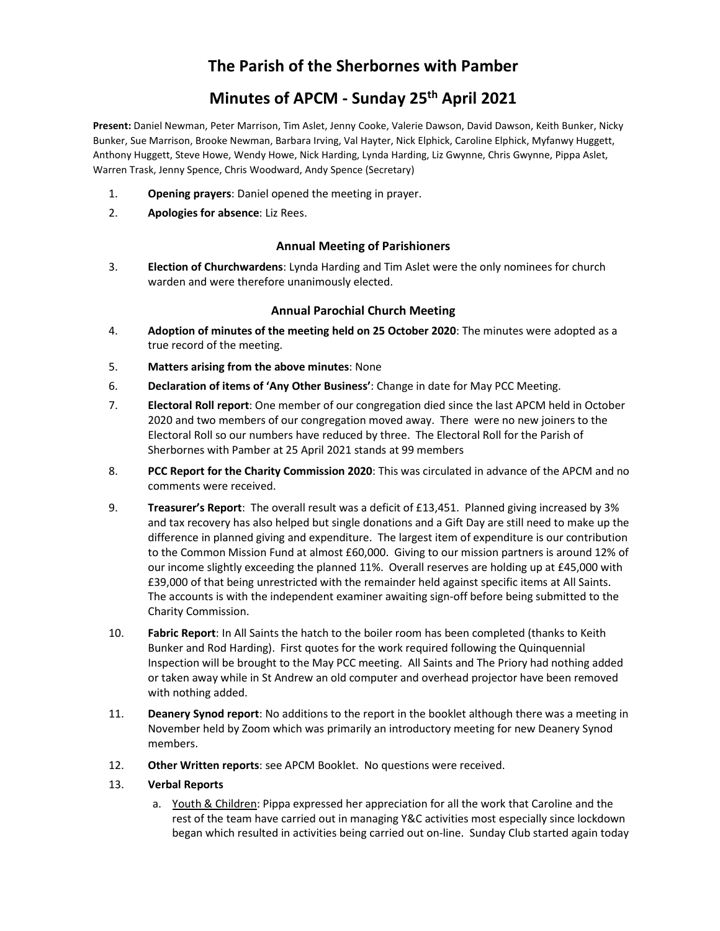# **The Parish of the Sherbornes with Pamber**

# **Minutes of APCM - Sunday 25th April 2021**

**Present:** Daniel Newman, Peter Marrison, Tim Aslet, Jenny Cooke, Valerie Dawson, David Dawson, Keith Bunker, Nicky Bunker, Sue Marrison, Brooke Newman, Barbara Irving, Val Hayter, Nick Elphick, Caroline Elphick, Myfanwy Huggett, Anthony Huggett, Steve Howe, Wendy Howe, Nick Harding, Lynda Harding, Liz Gwynne, Chris Gwynne, Pippa Aslet, Warren Trask, Jenny Spence, Chris Woodward, Andy Spence (Secretary)

- 1. **Opening prayers**: Daniel opened the meeting in prayer.
- 2. **Apologies for absence**: Liz Rees.

## **Annual Meeting of Parishioners**

3. **Election of Churchwardens**: Lynda Harding and Tim Aslet were the only nominees for church warden and were therefore unanimously elected.

## **Annual Parochial Church Meeting**

- 4. **Adoption of minutes of the meeting held on 25 October 2020**: The minutes were adopted as a true record of the meeting.
- 5. **Matters arising from the above minutes**: None
- 6. **Declaration of items of 'Any Other Business'**: Change in date for May PCC Meeting.
- 7. **Electoral Roll report**: One member of our congregation died since the last APCM held in October 2020 and two members of our congregation moved away. There were no new joiners to the Electoral Roll so our numbers have reduced by three. The Electoral Roll for the Parish of Sherbornes with Pamber at 25 April 2021 stands at 99 members
- 8. **PCC Report for the Charity Commission 2020**: This was circulated in advance of the APCM and no comments were received.
- 9. **Treasurer's Report**: The overall result was a deficit of £13,451. Planned giving increased by 3% and tax recovery has also helped but single donations and a Gift Day are still need to make up the difference in planned giving and expenditure. The largest item of expenditure is our contribution to the Common Mission Fund at almost £60,000. Giving to our mission partners is around 12% of our income slightly exceeding the planned 11%. Overall reserves are holding up at £45,000 with £39,000 of that being unrestricted with the remainder held against specific items at All Saints. The accounts is with the independent examiner awaiting sign-off before being submitted to the Charity Commission.
- 10. **Fabric Report**: In All Saints the hatch to the boiler room has been completed (thanks to Keith Bunker and Rod Harding). First quotes for the work required following the Quinquennial Inspection will be brought to the May PCC meeting. All Saints and The Priory had nothing added or taken away while in St Andrew an old computer and overhead projector have been removed with nothing added.
- 11. **Deanery Synod report**: No additions to the report in the booklet although there was a meeting in November held by Zoom which was primarily an introductory meeting for new Deanery Synod members.
- 12. **Other Written reports**: see APCM Booklet. No questions were received.

#### 13. **Verbal Reports**

a. Youth & Children: Pippa expressed her appreciation for all the work that Caroline and the rest of the team have carried out in managing Y&C activities most especially since lockdown began which resulted in activities being carried out on-line. Sunday Club started again today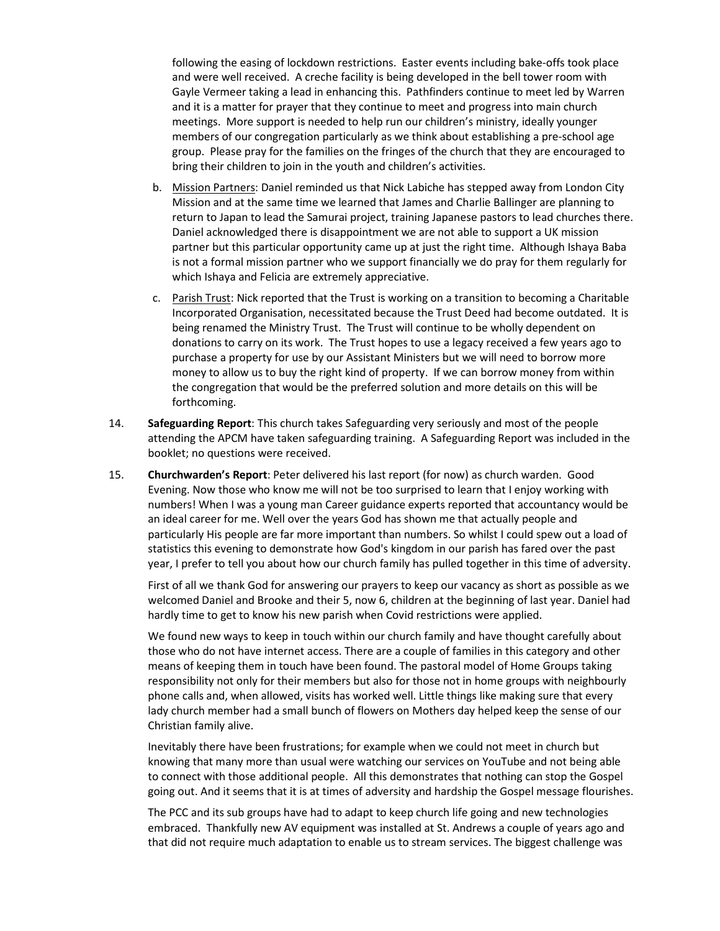following the easing of lockdown restrictions. Easter events including bake-offs took place and were well received. A creche facility is being developed in the bell tower room with Gayle Vermeer taking a lead in enhancing this. Pathfinders continue to meet led by Warren and it is a matter for prayer that they continue to meet and progress into main church meetings. More support is needed to help run our children's ministry, ideally younger members of our congregation particularly as we think about establishing a pre-school age group. Please pray for the families on the fringes of the church that they are encouraged to bring their children to join in the youth and children's activities.

- b. Mission Partners: Daniel reminded us that Nick Labiche has stepped away from London City Mission and at the same time we learned that James and Charlie Ballinger are planning to return to Japan to lead the Samurai project, training Japanese pastors to lead churches there. Daniel acknowledged there is disappointment we are not able to support a UK mission partner but this particular opportunity came up at just the right time. Although Ishaya Baba is not a formal mission partner who we support financially we do pray for them regularly for which Ishaya and Felicia are extremely appreciative.
- c. Parish Trust: Nick reported that the Trust is working on a transition to becoming a Charitable Incorporated Organisation, necessitated because the Trust Deed had become outdated. It is being renamed the Ministry Trust. The Trust will continue to be wholly dependent on donations to carry on its work. The Trust hopes to use a legacy received a few years ago to purchase a property for use by our Assistant Ministers but we will need to borrow more money to allow us to buy the right kind of property. If we can borrow money from within the congregation that would be the preferred solution and more details on this will be forthcoming.
- 14. **Safeguarding Report**: This church takes Safeguarding very seriously and most of the people attending the APCM have taken safeguarding training. A Safeguarding Report was included in the booklet; no questions were received.
- 15. **Churchwarden's Report**: Peter delivered his last report (for now) as church warden. Good Evening. Now those who know me will not be too surprised to learn that I enjoy working with numbers! When I was a young man Career guidance experts reported that accountancy would be an ideal career for me. Well over the years God has shown me that actually people and particularly His people are far more important than numbers. So whilst I could spew out a load of statistics this evening to demonstrate how God's kingdom in our parish has fared over the past year, I prefer to tell you about how our church family has pulled together in this time of adversity.

First of all we thank God for answering our prayers to keep our vacancy as short as possible as we welcomed Daniel and Brooke and their 5, now 6, children at the beginning of last year. Daniel had hardly time to get to know his new parish when Covid restrictions were applied.

We found new ways to keep in touch within our church family and have thought carefully about those who do not have internet access. There are a couple of families in this category and other means of keeping them in touch have been found. The pastoral model of Home Groups taking responsibility not only for their members but also for those not in home groups with neighbourly phone calls and, when allowed, visits has worked well. Little things like making sure that every lady church member had a small bunch of flowers on Mothers day helped keep the sense of our Christian family alive.

Inevitably there have been frustrations; for example when we could not meet in church but knowing that many more than usual were watching our services on YouTube and not being able to connect with those additional people. All this demonstrates that nothing can stop the Gospel going out. And it seems that it is at times of adversity and hardship the Gospel message flourishes.

The PCC and its sub groups have had to adapt to keep church life going and new technologies embraced. Thankfully new AV equipment was installed at St. Andrews a couple of years ago and that did not require much adaptation to enable us to stream services. The biggest challenge was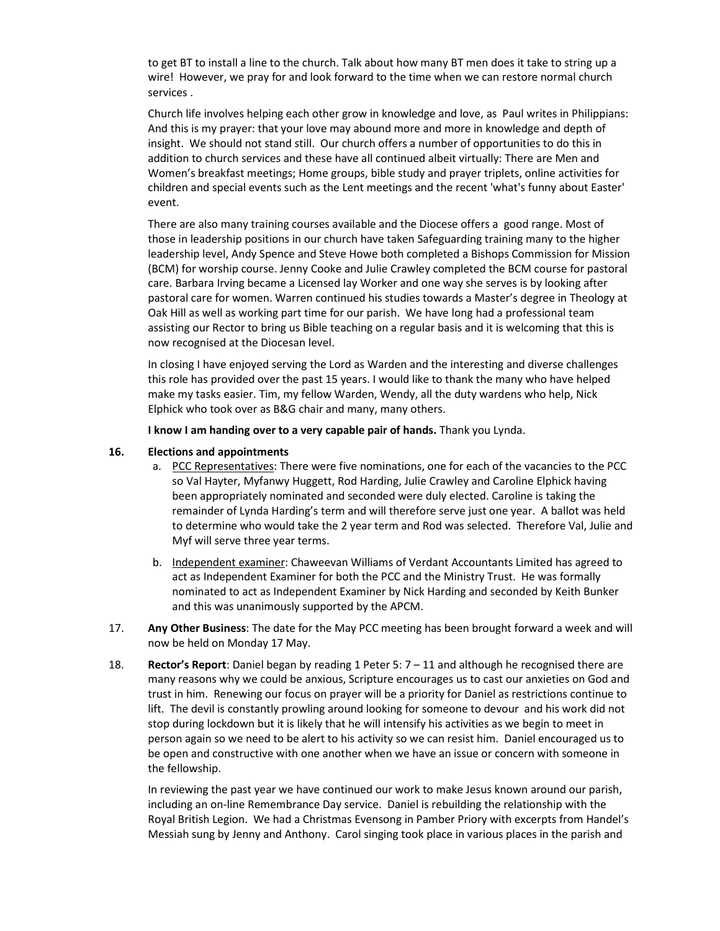to get BT to install a line to the church. Talk about how many BT men does it take to string up a wire! However, we pray for and look forward to the time when we can restore normal church services .

Church life involves helping each other grow in knowledge and love, as Paul writes in Philippians: And this is my prayer: that your love may abound more and more in knowledge and depth of insight. We should not stand still. Our church offers a number of opportunities to do this in addition to church services and these have all continued albeit virtually: There are Men and Women's breakfast meetings; Home groups, bible study and prayer triplets, online activities for children and special events such as the Lent meetings and the recent 'what's funny about Easter' event.

There are also many training courses available and the Diocese offers a good range. Most of those in leadership positions in our church have taken Safeguarding training many to the higher leadership level, Andy Spence and Steve Howe both completed a Bishops Commission for Mission (BCM) for worship course. Jenny Cooke and Julie Crawley completed the BCM course for pastoral care. Barbara Irving became a Licensed lay Worker and one way she serves is by looking after pastoral care for women. Warren continued his studies towards a Master's degree in Theology at Oak Hill as well as working part time for our parish. We have long had a professional team assisting our Rector to bring us Bible teaching on a regular basis and it is welcoming that this is now recognised at the Diocesan level.

In closing I have enjoyed serving the Lord as Warden and the interesting and diverse challenges this role has provided over the past 15 years. I would like to thank the many who have helped make my tasks easier. Tim, my fellow Warden, Wendy, all the duty wardens who help, Nick Elphick who took over as B&G chair and many, many others.

**I know I am handing over to a very capable pair of hands.** Thank you Lynda.

#### **16. Elections and appointments**

- a. PCC Representatives: There were five nominations, one for each of the vacancies to the PCC so Val Hayter, Myfanwy Huggett, Rod Harding, Julie Crawley and Caroline Elphick having been appropriately nominated and seconded were duly elected. Caroline is taking the remainder of Lynda Harding's term and will therefore serve just one year. A ballot was held to determine who would take the 2 year term and Rod was selected. Therefore Val, Julie and Myf will serve three year terms.
- b. Independent examiner: Chaweevan Williams of Verdant Accountants Limited has agreed to act as Independent Examiner for both the PCC and the Ministry Trust. He was formally nominated to act as Independent Examiner by Nick Harding and seconded by Keith Bunker and this was unanimously supported by the APCM.
- 17. **Any Other Business**: The date for the May PCC meeting has been brought forward a week and will now be held on Monday 17 May.
- 18. **Rector's Report**: Daniel began by reading 1 Peter 5: 7 11 and although he recognised there are many reasons why we could be anxious, Scripture encourages us to cast our anxieties on God and trust in him. Renewing our focus on prayer will be a priority for Daniel as restrictions continue to lift. The devil is constantly prowling around looking for someone to devour and his work did not stop during lockdown but it is likely that he will intensify his activities as we begin to meet in person again so we need to be alert to his activity so we can resist him. Daniel encouraged us to be open and constructive with one another when we have an issue or concern with someone in the fellowship.

In reviewing the past year we have continued our work to make Jesus known around our parish, including an on-line Remembrance Day service. Daniel is rebuilding the relationship with the Royal British Legion. We had a Christmas Evensong in Pamber Priory with excerpts from Handel's Messiah sung by Jenny and Anthony. Carol singing took place in various places in the parish and